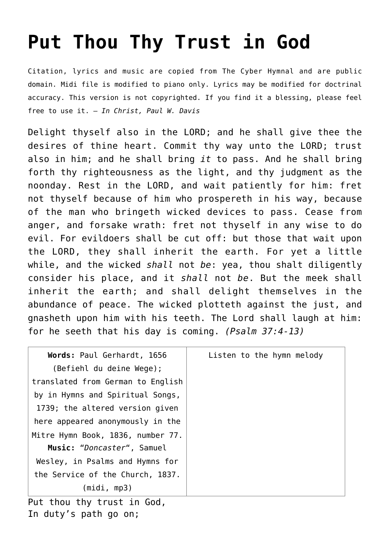## **[Put Thou Thy Trust in God](http://reproachofmen.org/hymns-and-music/put-thou-thy-trust-in-god/)**

Citation, lyrics and music are copied from [The Cyber Hymnal](http://www.hymntime.com/tch/index.htm) and are public domain. Midi file is modified to piano only. Lyrics may be modified for doctrinal accuracy. This version is not copyrighted. If you find it a blessing, please feel free to use it. — *In Christ, Paul W. Davis*

Delight thyself also in the LORD; and he shall give thee the desires of thine heart. Commit thy way unto the LORD; trust also in him; and he shall bring *it* to pass. And he shall bring forth thy righteousness as the light, and thy judgment as the noonday. Rest in the LORD, and wait patiently for him: fret not thyself because of him who prospereth in his way, because of the man who bringeth wicked devices to pass. Cease from anger, and forsake wrath: fret not thyself in any wise to do evil. For evildoers shall be cut off: but those that wait upon the LORD, they shall inherit the earth. For yet a little while, and the wicked *shall* not *be*: yea, thou shalt diligently consider his place, and it *shall* not *be*. But the meek shall inherit the earth; and shall delight themselves in the abundance of peace. The wicked plotteth against the just, and gnasheth upon him with his teeth. The Lord shall laugh at him: for he seeth that his day is coming. *(Psalm 37:4-13)*

| Words: Paul Gerhardt, 1656          | Listen to the hymn melody |
|-------------------------------------|---------------------------|
| (Befiehl du deine Wege);            |                           |
| translated from German to English   |                           |
| by in Hymns and Spiritual Songs,    |                           |
| 1739; the altered version given     |                           |
| here appeared anonymously in the    |                           |
| Mitre Hymn Book, 1836, number 77.   |                           |
| Music: "Doncaster", Samuel          |                           |
| Wesley, in Psalms and Hymns for     |                           |
| the Service of the Church, 1837.    |                           |
| (midi, mp3)                         |                           |
| D + + b.o., + b., + p., o+ + p. Cod |                           |

Put thou thy trust in God, In duty's path go on;